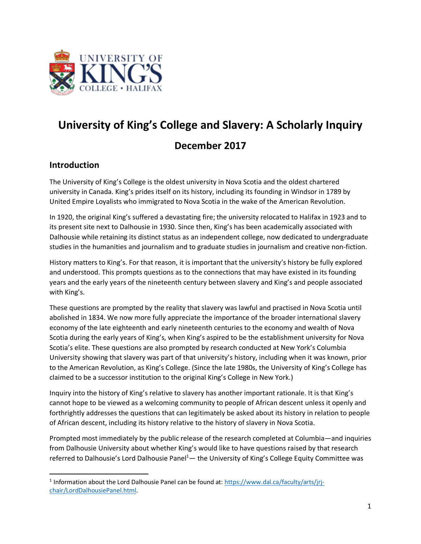

# **University of King's College and Slavery: A Scholarly Inquiry December 2017**

## **Introduction**

The University of King's College is the oldest university in Nova Scotia and the oldest chartered university in Canada. King's prides itself on its history, including its founding in Windsor in 1789 by United Empire Loyalists who immigrated to Nova Scotia in the wake of the American Revolution.

In 1920, the original King's suffered a devastating fire; the university relocated to Halifax in 1923 and to its present site next to Dalhousie in 1930. Since then, King's has been academically associated with Dalhousie while retaining its distinct status as an independent college, now dedicated to undergraduate studies in the humanities and journalism and to graduate studies in journalism and creative non-fiction.

History matters to King's. For that reason, it is important that the university's history be fully explored and understood. This prompts questions as to the connections that may have existed in its founding years and the early years of the nineteenth century between slavery and King's and people associated with King's.

These questions are prompted by the reality that slavery was lawful and practised in Nova Scotia until abolished in 1834. We now more fully appreciate the importance of the broader international slavery economy of the late eighteenth and early nineteenth centuries to the economy and wealth of Nova Scotia during the early years of King's, when King's aspired to be the establishment university for Nova Scotia's elite. These questions are also prompted by research conducted at New York's Columbia University showing that slavery was part of that university's history, including when it was known, prior to the American Revolution, as King's College. (Since the late 1980s, the University of King's College has claimed to be a successor institution to the original King's College in New York.)

Inquiry into the history of King's relative to slavery has another important rationale. It is that King's cannot hope to be viewed as a welcoming community to people of African descent unless it openly and forthrightly addresses the questions that can legitimately be asked about its history in relation to people of African descent, including its history relative to the history of slavery in Nova Scotia.

Prompted most immediately by the public release of the research completed at Columbia—and inquiries from Dalhousie University about whether King's would like to have questions raised by that research referred to Dalhousie's Lord Dalhousie Panel<sup>1</sup> - the University of King's College Equity Committee was

<sup>&</sup>lt;sup>1</sup> Information about the Lord Dalhousie Panel can be found at: https://www.dal.ca/faculty/arts/jrjchair/LordDalhousiePanel.html.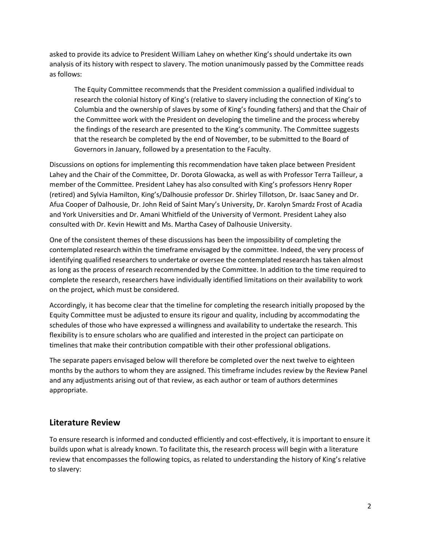asked to provide its advice to President William Lahey on whether King's should undertake its own analysis of its history with respect to slavery. The motion unanimously passed by the Committee reads as follows:

The Equity Committee recommends that the President commission a qualified individual to research the colonial history of King's (relative to slavery including the connection of King's to Columbia and the ownership of slaves by some of King's founding fathers) and that the Chair of the Committee work with the President on developing the timeline and the process whereby the findings of the research are presented to the King's community. The Committee suggests that the research be completed by the end of November, to be submitted to the Board of Governors in January, followed by a presentation to the Faculty.

Discussions on options for implementing this recommendation have taken place between President Lahey and the Chair of the Committee, Dr. Dorota Glowacka, as well as with Professor Terra Tailleur, a member of the Committee. President Lahey has also consulted with King's professors Henry Roper (retired) and Sylvia Hamilton, King's/Dalhousie professor Dr. Shirley Tillotson, Dr. Isaac Saney and Dr. Afua Cooper of Dalhousie, Dr. John Reid of Saint Mary's University, Dr. Karolyn Smardz Frost of Acadia and York Universities and Dr. Amani Whitfield of the University of Vermont. President Lahey also consulted with Dr. Kevin Hewitt and Ms. Martha Casey of Dalhousie University.

One of the consistent themes of these discussions has been the impossibility of completing the contemplated research within the timeframe envisaged by the committee. Indeed, the very process of identifying qualified researchers to undertake or oversee the contemplated research has taken almost as long as the process of research recommended by the Committee. In addition to the time required to complete the research, researchers have individually identified limitations on their availability to work on the project, which must be considered.

Accordingly, it has become clear that the timeline for completing the research initially proposed by the Equity Committee must be adjusted to ensure its rigour and quality, including by accommodating the schedules of those who have expressed a willingness and availability to undertake the research. This flexibility is to ensure scholars who are qualified and interested in the project can participate on timelines that make their contribution compatible with their other professional obligations.

The separate papers envisaged below will therefore be completed over the next twelve to eighteen months by the authors to whom they are assigned. This timeframe includes review by the Review Panel and any adjustments arising out of that review, as each author or team of authors determines appropriate.

## **Literature Review**

To ensure research is informed and conducted efficiently and cost-effectively, it is important to ensure it builds upon what is already known. To facilitate this, the research process will begin with a literature review that encompasses the following topics, as related to understanding the history of King's relative to slavery: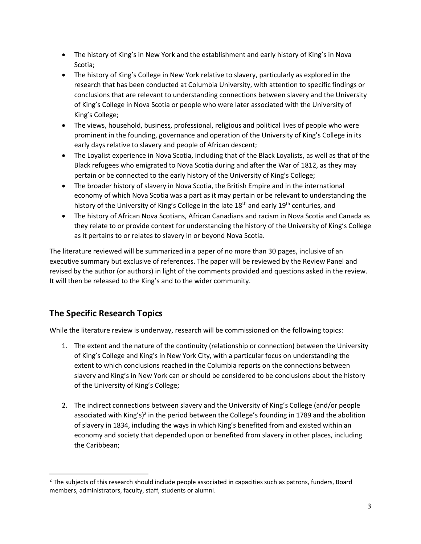- The history of King's in New York and the establishment and early history of King's in Nova Scotia;
- The history of King's College in New York relative to slavery, particularly as explored in the research that has been conducted at Columbia University, with attention to specific findings or conclusions that are relevant to understanding connections between slavery and the University of King's College in Nova Scotia or people who were later associated with the University of King's College;
- The views, household, business, professional, religious and political lives of people who were prominent in the founding, governance and operation of the University of King's College in its early days relative to slavery and people of African descent;
- The Loyalist experience in Nova Scotia, including that of the Black Loyalists, as well as that of the Black refugees who emigrated to Nova Scotia during and after the War of 1812, as they may pertain or be connected to the early history of the University of King's College;
- The broader history of slavery in Nova Scotia, the British Empire and in the international economy of which Nova Scotia was a part as it may pertain or be relevant to understanding the history of the University of King's College in the late 18<sup>th</sup> and early 19<sup>th</sup> centuries, and
- The history of African Nova Scotians, African Canadians and racism in Nova Scotia and Canada as they relate to or provide context for understanding the history of the University of King's College as it pertains to or relates to slavery in or beyond Nova Scotia.

The literature reviewed will be summarized in a paper of no more than 30 pages, inclusive of an executive summary but exclusive of references. The paper will be reviewed by the Review Panel and revised by the author (or authors) in light of the comments provided and questions asked in the review. It will then be released to the King's and to the wider community.

# **The Specific Research Topics**

While the literature review is underway, research will be commissioned on the following topics:

- 1. The extent and the nature of the continuity (relationship or connection) between the University of King's College and King's in New York City, with a particular focus on understanding the extent to which conclusions reached in the Columbia reports on the connections between slavery and King's in New York can or should be considered to be conclusions about the history of the University of King's College;
- 2. The indirect connections between slavery and the University of King's College (and/or people associated with King's)<sup>2</sup> in the period between the College's founding in 1789 and the abolition of slavery in 1834, including the ways in which King's benefited from and existed within an economy and society that depended upon or benefited from slavery in other places, including the Caribbean;

<sup>&</sup>lt;sup>2</sup> The subjects of this research should include people associated in capacities such as patrons, funders, Board members, administrators, faculty, staff, students or alumni.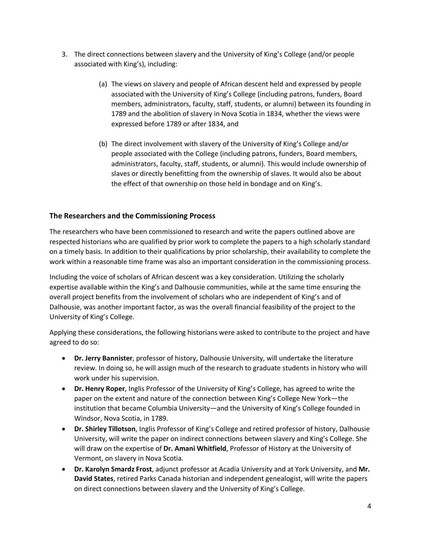- 3. The direct connections between slavery and the University of King's College (and/or people associated with King's), including:
	- (a) The views on slavery and people of African descent held and expressed by people associated with the University of King's College (including patrons, funders, Board members, administrators, faculty, staff, students, or alumni) between its founding in 1789 and the abolition of slavery in Nova Scotia in 1834, whether the views were expressed before 1789 or after 1834, and
	- (b) The direct involvement with slavery of the University of King's College and/or people associated with the College (including patrons, funders, Board members, administrators, faculty, staff, students, or alumni). This would include ownership of slaves or directly benefitting from the ownership of slaves. It would also be about the effect of that ownership on those held in bondage and on King's.

#### **The Researchers and the Commissioning Process**

The researchers who have been commissioned to research and write the papers outlined above are respected historians who are qualified by prior work to complete the papers to a high scholarly standard on a timely basis. In addition to their qualifications by prior scholarship, their availability to complete the work within a reasonable time frame was also an important consideration in the commissioning process.

Including the voice of scholars of African descent was a key consideration. Utilizing the scholarly expertise available within the King's and Dalhousie communities, while at the same time ensuring the overall project benefits from the involvement of scholars who are independent of King's and of Dalhousie, was another important factor, as was the overall financial feasibility of the project to the University of King's College.

Applying these considerations, the following historians were asked to contribute to the project and have agreed to do so:

- **Dr. Jerry Bannister**, professor of history, Dalhousie University, will undertake the literature review. In doing so, he will assign much of the research to graduate students in history who will work under his supervision.
- **Dr. Henry Roper**, Inglis Professor of the University of King's College, has agreed to write the paper on the extent and nature of the connection between King's College New York—the institution that became Columbia University—and the University of King's College founded in Windsor, Nova Scotia, in 1789.
- **Dr. Shirley Tillotson**, Inglis Professor of King's College and retired professor of history, Dalhousie University, will write the paper on indirect connections between slavery and King's College. She will draw on the expertise of **Dr. Amani Whitfield**, Professor of History at the University of Vermont, on slavery in Nova Scotia.
- **Dr. Karolyn Smardz Frost**, adjunct professor at Acadia University and at York University, and **Mr. David States**, retired Parks Canada historian and independent genealogist, will write the papers on direct connections between slavery and the University of King's College.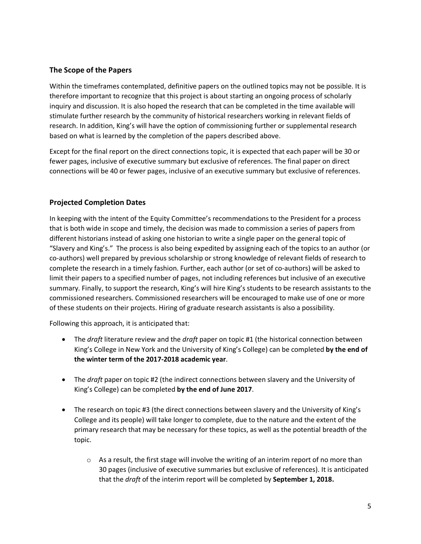#### **The Scope of the Papers**

Within the timeframes contemplated, definitive papers on the outlined topics may not be possible. It is therefore important to recognize that this project is about starting an ongoing process of scholarly inquiry and discussion. It is also hoped the research that can be completed in the time available will stimulate further research by the community of historical researchers working in relevant fields of research. In addition, King's will have the option of commissioning further or supplemental research based on what is learned by the completion of the papers described above.

Except for the final report on the direct connections topic, it is expected that each paper will be 30 or fewer pages, inclusive of executive summary but exclusive of references. The final paper on direct connections will be 40 or fewer pages, inclusive of an executive summary but exclusive of references.

#### **Projected Completion Dates**

In keeping with the intent of the Equity Committee's recommendations to the President for a process that is both wide in scope and timely, the decision was made to commission a series of papers from different historians instead of asking one historian to write a single paper on the general topic of "Slavery and King's." The process is also being expedited by assigning each of the topics to an author (or co-authors) well prepared by previous scholarship or strong knowledge of relevant fields of research to complete the research in a timely fashion. Further, each author (or set of co-authors) will be asked to limit their papers to a specified number of pages, not including references but inclusive of an executive summary. Finally, to support the research, King's will hire King's students to be research assistants to the commissioned researchers. Commissioned researchers will be encouraged to make use of one or more of these students on their projects. Hiring of graduate research assistants is also a possibility.

Following this approach, it is anticipated that:

- The *draft* literature review and the *draft* paper on topic #1 (the historical connection between King's College in New York and the University of King's College) can be completed **by the end of the winter term of the 2017-2018 academic year**.
- The *draft* paper on topic #2 (the indirect connections between slavery and the University of King's College) can be completed **by the end of June 2017**.
- The research on topic #3 (the direct connections between slavery and the University of King's College and its people) will take longer to complete, due to the nature and the extent of the primary research that may be necessary for these topics, as well as the potential breadth of the topic.
	- $\circ$  As a result, the first stage will involve the writing of an interim report of no more than 30 pages (inclusive of executive summaries but exclusive of references). It is anticipated that the *draft* of the interim report will be completed by **September 1, 2018.**